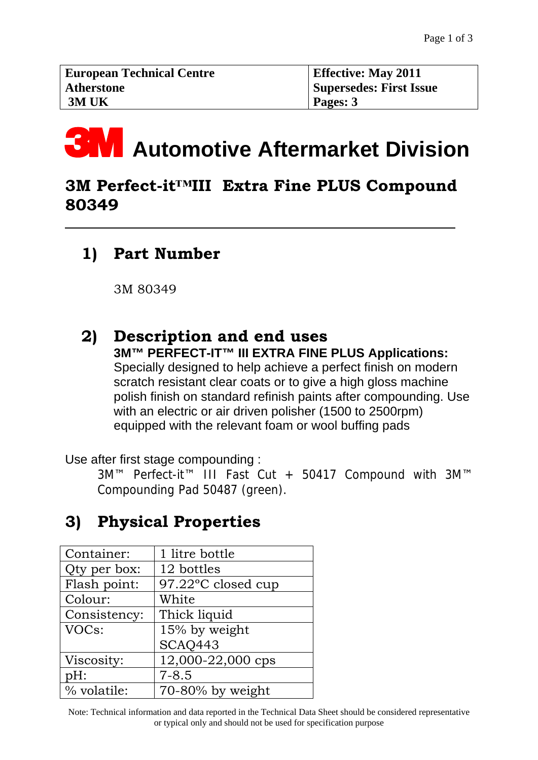# **3M** Automotive Aftermarket Division

## **3M Perfect-it™III Extra Fine PLUS Compound 80349**

# **1) Part Number**

 $\overline{a}$ 

3M 80349

#### **s 2) Description and end use 3M™ PERFECT-IT™ III EXTRA FINE PLUS Applications:**

Specially designed to help achieve a perfect finish on modern scratch resistant clear coats or to give a high gloss machine polish finish on standard refinish paints after compounding. Use with an electric or air driven polisher (1500 to 2500rpm) equipped with the relevant foam or wool buffing pads

Use after first stage compounding :

3M™ Perfect-it™ III Fast Cut + 50417 Compound with 3M™ Compounding Pad 50487 (green).

# **3) Physical Properties**

| 1 litre bottle     |
|--------------------|
| 12 bottles         |
| 97.22°C closed cup |
| White              |
| Thick liquid       |
| 15% by weight      |
| SCAQ443            |
| 12,000-22,000 cps  |
| $7 - 8.5$          |
| 70-80% by weight   |
|                    |

Note: Technical information and data reported in the Technical Data Sheet should be considered representative or typical only and should not be used for specification purpose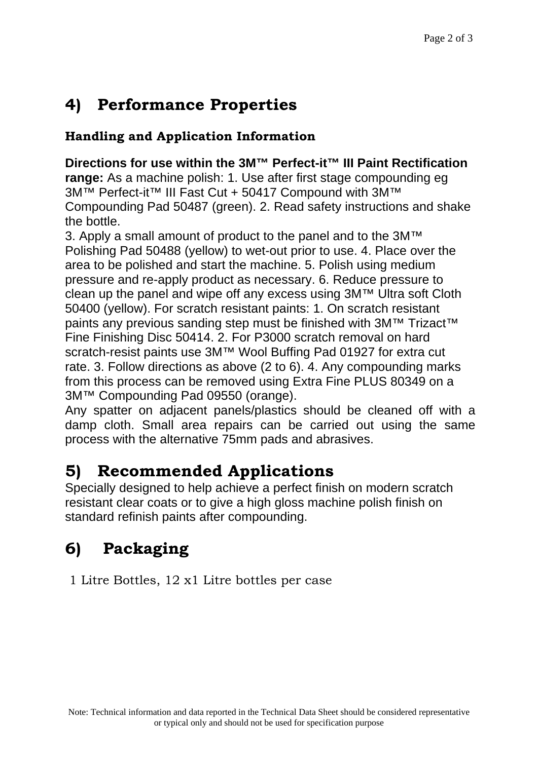# **4) Performance Properties**

#### **Handling and Application Information**

**Directions for use within the 3M™ Perfect-it™ III Paint Rectification range:** As a machine polish: 1. Use after first stage compounding eg 3M™ Perfect-it™ III Fast Cut + 50417 Compound with 3M™ Compounding Pad 50487 (green). 2. Read safety instructions and shake the bottle.

3. Apply a small amount of product to the panel and to the 3M™ Polishing Pad 50488 (yellow) to wet-out prior to use. 4. Place over the area to be polished and start the machine. 5. Polish using medium pressure and re-apply product as necessary. 6. Reduce pressure to clean up the panel and wipe off any excess using 3M™ Ultra soft Cloth 50400 (yellow). For scratch resistant paints: 1. On scratch resistant paints any previous sanding step must be finished with 3M™ Trizact<sup>™</sup> Fine Finishing Disc 50414. 2. For P3000 scratch removal on hard scratch-resist paints use 3M™ Wool Buffing Pad 01927 for extra cut rate. 3. Follow directions as above (2 to 6). 4. Any compounding marks from this process can be removed using Extra Fine PLUS 80349 on a 3M™ Compounding Pad 09550 (orange).

Any spatter on adjacent panels/plastics should be cleaned off with a damp cloth. Small area repairs can be carried out using the same process with the alternative 75mm pads and abrasives.

## **5) Recommended Applications**

Specially designed to help achieve a perfect finish on modern scratch resistant clear coats or to give a high gloss machine polish finish on standard refinish paints after compounding.

## **6) Packaging**

1 Litre Bottles, 12 x1 Litre bottles per case